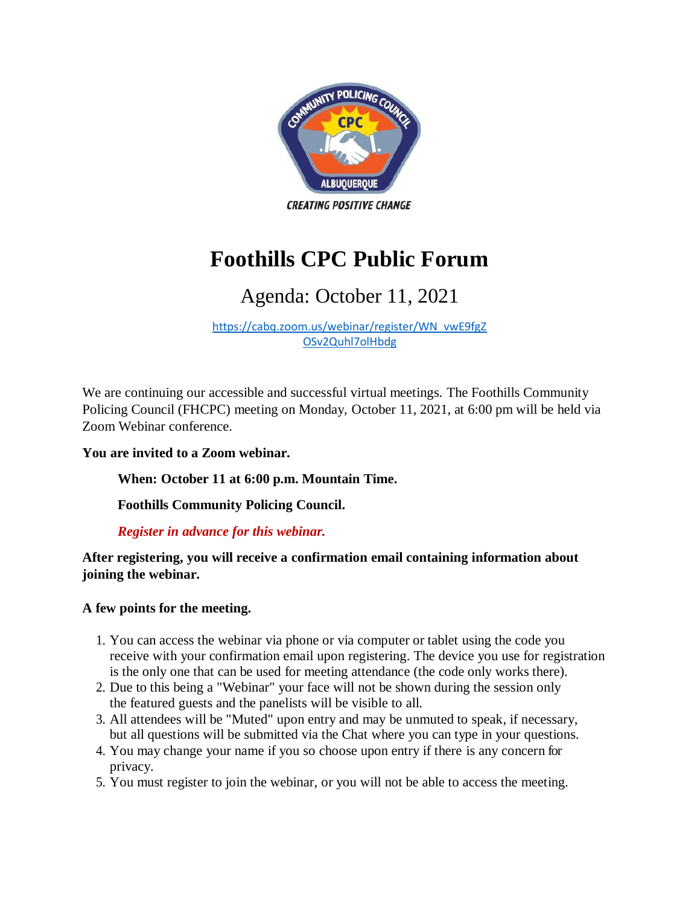

# **Foothills CPC Public Forum**

## Agenda: October 11, 2021

[https://cabq.zoom.us/webinar/register/WN\\_vwE9fgZ](https://cabq.zoom.us/webinar/register/WN_vwE9fgZOSv2Quhl7olHbdg) [OSv2Quhl7olHbdg](https://cabq.zoom.us/webinar/register/WN_vwE9fgZOSv2Quhl7olHbdg)

We are continuing our accessible and successful virtual meetings. The Foothills Community Policing Council (FHCPC) meeting on Monday, October 11, 2021, at 6:00 pm will be held via Zoom Webinar conference.

#### **You are invited to a Zoom webinar.**

**When: October 11 at 6:00 p.m. Mountain Time.**

**Foothills Community Policing Council.**

#### *Register in advance for this webinar.*

**After registering, you will receive a confirmation email containing information about joining the webinar.**

#### **A few points for the meeting.**

- 1. You can access the webinar via phone or via computer or tablet using the code you receive with your confirmation email upon registering. The device you use for registration is the only one that can be used for meeting attendance (the code only works there).
- 2. Due to this being a "Webinar" your face will not be shown during the session only the featured guests and the panelists will be visible to all.
- 3. All attendees will be "Muted" upon entry and may be unmuted to speak, if necessary, but all questions will be submitted via the Chat where you can type in your questions.
- 4. You may change your name if you so choose upon entry if there is any concern for privacy.
- 5. You must register to join the webinar, or you will not be able to access the meeting.